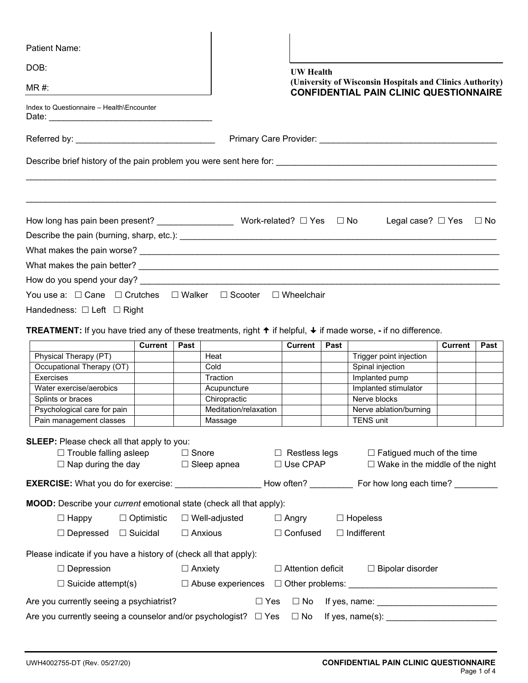| <b>Patient Name:</b>                                                                                                                      |                   |              |                       |                                                                                                            |                          |      |                                                                                                                                                                                                                               |                |              |
|-------------------------------------------------------------------------------------------------------------------------------------------|-------------------|--------------|-----------------------|------------------------------------------------------------------------------------------------------------|--------------------------|------|-------------------------------------------------------------------------------------------------------------------------------------------------------------------------------------------------------------------------------|----------------|--------------|
| DOB:<br>$MR#$ :                                                                                                                           |                   |              |                       | <b>UW</b> Health                                                                                           |                          |      |                                                                                                                                                                                                                               |                |              |
|                                                                                                                                           |                   |              |                       | (University of Wisconsin Hospitals and Clinics Authority)<br><b>CONFIDENTIAL PAIN CLINIC QUESTIONNAIRE</b> |                          |      |                                                                                                                                                                                                                               |                |              |
| Index to Questionnaire - Health\Encounter<br>Date:                                                                                        |                   |              |                       |                                                                                                            |                          |      |                                                                                                                                                                                                                               |                |              |
|                                                                                                                                           |                   |              |                       |                                                                                                            |                          |      |                                                                                                                                                                                                                               |                |              |
|                                                                                                                                           |                   |              |                       |                                                                                                            |                          |      | Primary Care Provider: Note that the contract of the contract of the contract of the contract of the contract of the contract of the contract of the contract of the contract of the contract of the contract of the contract |                |              |
|                                                                                                                                           |                   |              |                       |                                                                                                            |                          |      |                                                                                                                                                                                                                               |                |              |
|                                                                                                                                           |                   |              |                       |                                                                                                            |                          |      | Legal case? $\Box$ Yes                                                                                                                                                                                                        |                | $\square$ No |
|                                                                                                                                           |                   |              |                       |                                                                                                            |                          |      |                                                                                                                                                                                                                               |                |              |
|                                                                                                                                           |                   |              |                       |                                                                                                            |                          |      |                                                                                                                                                                                                                               |                |              |
|                                                                                                                                           |                   |              |                       |                                                                                                            |                          |      |                                                                                                                                                                                                                               |                |              |
|                                                                                                                                           |                   |              |                       |                                                                                                            |                          |      |                                                                                                                                                                                                                               |                |              |
| You use a: □ Cane □ Crutches □ Walker □ Scooter □ Wheelchair                                                                              |                   |              |                       |                                                                                                            |                          |      |                                                                                                                                                                                                                               |                |              |
|                                                                                                                                           |                   |              |                       |                                                                                                            |                          |      |                                                                                                                                                                                                                               |                |              |
| Handedness: $\Box$ Left $\Box$ Right                                                                                                      |                   |              |                       |                                                                                                            |                          |      |                                                                                                                                                                                                                               |                |              |
| <b>TREATMENT:</b> If you have tried any of these treatments, right $\uparrow$ if helpful, $\downarrow$ if made worse, - if no difference. |                   |              |                       |                                                                                                            |                          |      |                                                                                                                                                                                                                               |                |              |
|                                                                                                                                           | <b>Current</b>    | Past         |                       |                                                                                                            | <b>Current</b>           | Past |                                                                                                                                                                                                                               | <b>Current</b> | Past         |
| Physical Therapy (PT)                                                                                                                     |                   |              | Heat                  |                                                                                                            |                          |      | Trigger point injection                                                                                                                                                                                                       |                |              |
| Occupational Therapy (OT)                                                                                                                 |                   |              | Cold                  |                                                                                                            |                          |      | Spinal injection                                                                                                                                                                                                              |                |              |
| Exercises                                                                                                                                 |                   |              | Traction              |                                                                                                            |                          |      | Implanted pump                                                                                                                                                                                                                |                |              |
| Water exercise/aerobics                                                                                                                   |                   |              | Acupuncture           |                                                                                                            |                          |      | Implanted stimulator                                                                                                                                                                                                          |                |              |
| Splints or braces                                                                                                                         |                   |              | Chiropractic          |                                                                                                            |                          |      | Nerve blocks                                                                                                                                                                                                                  |                |              |
| Psychological care for pain                                                                                                               |                   |              | Meditation/relaxation |                                                                                                            |                          |      | Nerve ablation/burning                                                                                                                                                                                                        |                |              |
| Pain management classes                                                                                                                   |                   |              | Massage               |                                                                                                            |                          |      | <b>TENS unit</b>                                                                                                                                                                                                              |                |              |
| <b>SLEEP:</b> Please check all that apply to you:<br>$\Box$ Trouble falling asleep                                                        |                   | $\Box$ Snore |                       |                                                                                                            | $\Box$ Restless legs     |      | $\Box$ Fatigued much of the time                                                                                                                                                                                              |                |              |
| $\Box$ Nap during the day                                                                                                                 |                   |              | $\Box$ Sleep apnea    |                                                                                                            | $\square$ Use CPAP       |      | $\Box$ Wake in the middle of the night                                                                                                                                                                                        |                |              |
| EXERCISE: What you do for exercise: ____________________How often? _____________ For how long each time? __________                       |                   |              |                       |                                                                                                            |                          |      |                                                                                                                                                                                                                               |                |              |
| <b>MOOD:</b> Describe your <i>current</i> emotional state (check all that apply):                                                         |                   |              |                       |                                                                                                            |                          |      |                                                                                                                                                                                                                               |                |              |
| $\Box$ Happy                                                                                                                              | $\Box$ Optimistic |              | $\Box$ Well-adjusted  |                                                                                                            | $\Box$ Angry             |      | $\Box$ Hopeless                                                                                                                                                                                                               |                |              |
| $\Box$ Depressed $\Box$ Suicidal                                                                                                          |                   |              | $\Box$ Anxious        |                                                                                                            | $\Box$ Confused          |      | $\Box$ Indifferent                                                                                                                                                                                                            |                |              |
| Please indicate if you have a history of (check all that apply):                                                                          |                   |              |                       |                                                                                                            |                          |      |                                                                                                                                                                                                                               |                |              |
| $\Box$ Depression                                                                                                                         |                   |              |                       |                                                                                                            | $\Box$ Attention deficit |      | $\Box$ Bipolar disorder                                                                                                                                                                                                       |                |              |
| $\Box$ Anxiety                                                                                                                            |                   |              |                       |                                                                                                            |                          |      |                                                                                                                                                                                                                               |                |              |
| $\Box$ Suicide attempt(s)                                                                                                                 |                   |              |                       |                                                                                                            |                          |      |                                                                                                                                                                                                                               |                |              |
| Are you currently seeing a psychiatrist?                                                                                                  |                   |              |                       | $\Box$ Yes                                                                                                 | $\Box$ No                |      |                                                                                                                                                                                                                               |                |              |
| Are you currently seeing a counselor and/or psychologist? $\Box$ Yes                                                                      |                   |              |                       |                                                                                                            | $\Box$ No                |      |                                                                                                                                                                                                                               |                |              |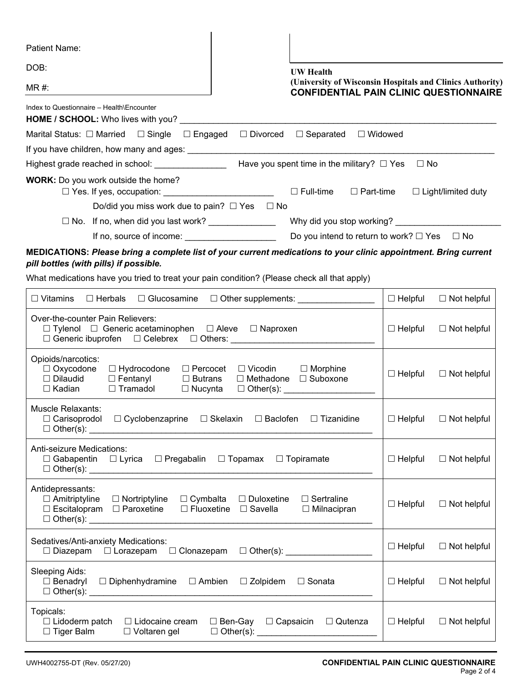| Patient Name:                                                                                                                                                                                                                                                                                 |                |                           |
|-----------------------------------------------------------------------------------------------------------------------------------------------------------------------------------------------------------------------------------------------------------------------------------------------|----------------|---------------------------|
| DOB:<br><b>UW</b> Health                                                                                                                                                                                                                                                                      |                |                           |
| (University of Wisconsin Hospitals and Clinics Authority)<br>$MR#$ :<br><b>CONFIDENTIAL PAIN CLINIC QUESTIONNAIRE</b>                                                                                                                                                                         |                |                           |
| Index to Questionnaire - Health\Encounter<br><b>HOME / SCHOOL:</b> Who lives with you?                                                                                                                                                                                                        |                |                           |
| □ Widowed<br>Marital Status: □ Married  □ Single  □ Engaged<br>$\Box$ Separated<br>$\Box$ Divorced                                                                                                                                                                                            |                |                           |
|                                                                                                                                                                                                                                                                                               |                |                           |
| Have you spent time in the military? $\Box$ Yes<br>Highest grade reached in school: _____________                                                                                                                                                                                             | $\Box$ No      |                           |
| WORK: Do you work outside the home?<br>$\Box$ Full-time<br>$\Box$ Part-time                                                                                                                                                                                                                   |                | $\Box$ Light/limited duty |
| Do/did you miss work due to pain? $\Box$ Yes $\Box$ No                                                                                                                                                                                                                                        |                |                           |
| $\Box$ No. If no, when did you last work? ______________<br>Why did you stop working?                                                                                                                                                                                                         |                |                           |
| Do you intend to return to work? $\Box$ Yes $\Box$ No<br>If no, source of income:                                                                                                                                                                                                             |                |                           |
| MEDICATIONS: Please bring a complete list of your current medications to your clinic appointment. Bring current<br>pill bottles (with pills) if possible.<br>What medications have you tried to treat your pain condition? (Please check all that apply)                                      |                |                           |
| $\Box$ Vitamins<br>$\Box$ Herbals<br>$\Box$ Glucosamine<br>□ Other supplements: ___________________                                                                                                                                                                                           | $\Box$ Helpful | $\Box$ Not helpful        |
| Over-the-counter Pain Relievers:<br>$\Box$ Tylenol $\Box$ Generic acetaminophen $\Box$ Aleve $\Box$ Naproxen                                                                                                                                                                                  | $\Box$ Helpful | $\Box$ Not helpful        |
| Opioids/narcotics:<br>$\Box$ Oxycodone<br>$\Box$ Hydrocodone<br>$\Box$ Vicodin<br>$\Box$ Percocet<br>$\Box$ Morphine<br>$\Box$ Dilaudid<br>$\Box$ Suboxone<br>$\Box$ Fentanyl<br>$\Box$ Methadone<br>$\Box$ Butrans<br>$\Box$ Kadian<br>$\Box$ Tramadol<br>$\Box$ Other(s):<br>$\Box$ Nucynta | $\Box$ Helpful | $\Box$ Not helpful        |
| Muscle Relaxants:<br>$\Box$ Cyclobenzaprine $\Box$ Skelaxin<br>$\Box$ Carisoprodol<br>$\Box$ Baclofen<br>$\Box$ Tizanidine                                                                                                                                                                    | $\Box$ Helpful | $\Box$ Not helpful        |
| Anti-seizure Medications:<br>$\Box$ Gabapentin $\Box$ Lyrica<br>□ Pregabalin<br>$\Box$ Topamax<br>$\Box$ Topiramate                                                                                                                                                                           | $\Box$ Helpful | $\Box$ Not helpful        |
| Antidepressants:<br>$\Box$ Amitriptyline<br>$\Box$ Nortriptyline<br>□ Duloxetine<br>$\Box$ Sertraline<br>$\Box$ Cymbalta<br>$\square$ Escitalopram<br>$\Box$ Paroxetine<br>$\Box$ Fluoxetine<br>$\square$ Savella<br>$\Box$ Milnacipran<br>$\Box$ Other(s): $\_\_$                            | $\Box$ Helpful | $\Box$ Not helpful        |
| Sedatives/Anti-anxiety Medications:<br>$\Box$ Diazepam                                                                                                                                                                                                                                        | $\Box$ Helpful | $\Box$ Not helpful        |
| Sleeping Aids:<br>$\Box$ Diphenhydramine $\Box$ Ambien $\Box$ Zolpidem<br>□ Sonata<br>$\Box$ Benadryl                                                                                                                                                                                         | $\Box$ Helpful | $\Box$ Not helpful        |
| Topicals:<br>$\square$ Lidoderm patch<br>$\Box$ Lidocaine cream<br>□ Ben-Gay<br>$\Box$ Capsaicin $\Box$ Qutenza<br>$\Box$ Tiger Balm<br>$\Box$ Voltaren gel                                                                                                                                   | $\Box$ Helpful | $\Box$ Not helpful        |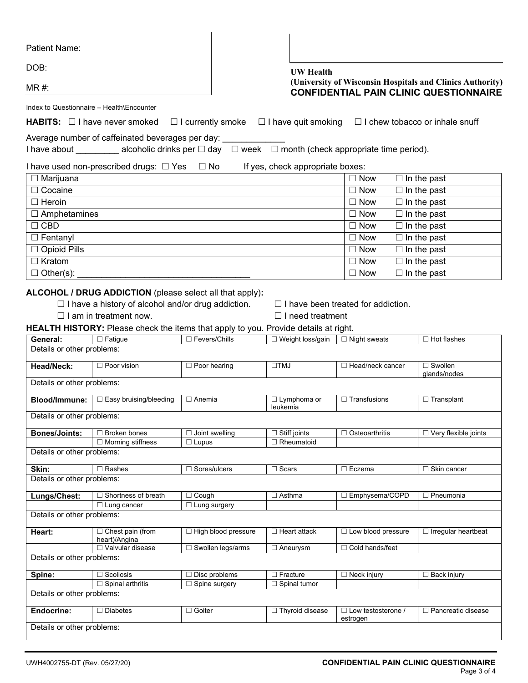| Patient Name:                             |                                                                                                                                                                                          |                                              |                                                     |                                           |                                                                                                            |  |
|-------------------------------------------|------------------------------------------------------------------------------------------------------------------------------------------------------------------------------------------|----------------------------------------------|-----------------------------------------------------|-------------------------------------------|------------------------------------------------------------------------------------------------------------|--|
| DOB:                                      |                                                                                                                                                                                          |                                              | <b>UW</b> Health                                    |                                           |                                                                                                            |  |
| MR#                                       |                                                                                                                                                                                          |                                              |                                                     |                                           | (University of Wisconsin Hospitals and Clinics Authority)<br><b>CONFIDENTIAL PAIN CLINIC QUESTIONNAIRE</b> |  |
| Index to Questionnaire - Health\Encounter |                                                                                                                                                                                          |                                              |                                                     |                                           |                                                                                                            |  |
|                                           | <b>HABITS:</b> $\Box$ I have never smoked                                                                                                                                                |                                              | $\Box$ I currently smoke $\Box$ I have quit smoking |                                           | □ I chew tobacco or inhale snuff                                                                           |  |
|                                           | Average number of caffeinated beverages per day:                                                                                                                                         |                                              |                                                     |                                           |                                                                                                            |  |
|                                           | I have about __________ alcoholic drinks per □ day □ week □ month (check appropriate time period).                                                                                       |                                              |                                                     |                                           |                                                                                                            |  |
|                                           | I have used non-prescribed drugs: $\Box$ Yes $\Box$ No                                                                                                                                   |                                              | If yes, check appropriate boxes:                    |                                           |                                                                                                            |  |
| $\Box$ Marijuana                          |                                                                                                                                                                                          |                                              |                                                     | $\Box$ Now                                | $\Box$ In the past                                                                                         |  |
| □ Cocaine                                 |                                                                                                                                                                                          |                                              |                                                     | $\Box$ In the past<br>$\Box$ Now          |                                                                                                            |  |
| $\Box$ Heroin                             |                                                                                                                                                                                          |                                              |                                                     | $\Box$ Now<br>$\Box$ In the past          |                                                                                                            |  |
| $\Box$ Amphetamines                       |                                                                                                                                                                                          |                                              |                                                     | $\square$ Now                             | $\Box$ In the past                                                                                         |  |
| $\Box$ CBD                                |                                                                                                                                                                                          |                                              |                                                     | $\Box$ Now                                | $\Box$ In the past                                                                                         |  |
| $\Box$ Fentanyl                           |                                                                                                                                                                                          |                                              |                                                     | $\Box$ Now                                | $\Box$ In the past                                                                                         |  |
| □ Opioid Pills                            |                                                                                                                                                                                          |                                              |                                                     | $\square$ Now                             | $\overline{\Box}$ In the past                                                                              |  |
| $\Box$ Kratom                             |                                                                                                                                                                                          |                                              |                                                     | $\square$ Now                             | $\Box$ In the past                                                                                         |  |
| $\Box$ Other(s):                          |                                                                                                                                                                                          |                                              |                                                     | $\Box$ Now                                | $\Box$ In the past                                                                                         |  |
|                                           |                                                                                                                                                                                          |                                              |                                                     |                                           |                                                                                                            |  |
|                                           | $\Box$ I have a history of alcohol and/or drug addiction.<br>$\Box$ I am in treatment now.<br><b>HEALTH HISTORY:</b> Please check the items that apply to you. Provide details at right. |                                              | $\Box$ I need treatment                             | $\Box$ I have been treated for addiction. |                                                                                                            |  |
| General:                                  | $\square$ Fatigue                                                                                                                                                                        | □ Fevers/Chills                              | $\square$ Weight loss/gain                          | $\Box$ Night sweats                       | $\Box$ Hot flashes                                                                                         |  |
| Details or other problems:                |                                                                                                                                                                                          |                                              |                                                     |                                           |                                                                                                            |  |
| Head/Neck:                                | □ Poor vision                                                                                                                                                                            | $\Box$ Poor hearing                          | $\Box TMJ$                                          | □ Head/neck cancer                        | $\Box$ Swollen<br>glands/nodes                                                                             |  |
| Details or other problems:                |                                                                                                                                                                                          |                                              |                                                     |                                           |                                                                                                            |  |
| <b>Blood/Immune:</b>                      | □ Easy bruising/bleeding                                                                                                                                                                 | $\Box$ Anemia                                | $\Box$ Lymphoma or<br>leukemia                      | $\Box$ Transfusions                       | $\Box$ Transplant                                                                                          |  |
| Details or other problems:                |                                                                                                                                                                                          |                                              |                                                     |                                           |                                                                                                            |  |
| <b>Bones/Joints:</b>                      | $\Box$ Broken bones                                                                                                                                                                      | $\Box$ Joint swelling                        | $\Box$ Stiff joints                                 | □ Osteoarthritis                          | $\Box$ Very flexible joints                                                                                |  |
|                                           | $\Box$ Morning stiffness                                                                                                                                                                 | $\Box$ Lupus                                 | $\Box$ Rheumatoid                                   |                                           |                                                                                                            |  |
| Details or other problems:                |                                                                                                                                                                                          |                                              |                                                     |                                           |                                                                                                            |  |
| Skin:                                     | $\overline{\Box}$ Rashes                                                                                                                                                                 | □ Sores/ulcers                               | $\Box$ Scars                                        | $\Box$ Eczema                             | □ Skin cancer                                                                                              |  |
| Details or other problems:                |                                                                                                                                                                                          |                                              |                                                     |                                           |                                                                                                            |  |
| Lungs/Chest:                              | Shortness of breath                                                                                                                                                                      | $\Box$ Cough                                 | $\Box$ Asthma                                       | □ Emphysema/COPD                          | $\Box$ Pneumonia                                                                                           |  |
|                                           | $\Box$ Lung cancer                                                                                                                                                                       | $\Box$ Lung surgery                          |                                                     |                                           |                                                                                                            |  |
| Details or other problems:                |                                                                                                                                                                                          |                                              |                                                     |                                           |                                                                                                            |  |
| Heart:                                    | Chest pain (from                                                                                                                                                                         | □ High blood pressure                        | $\Box$ Heart attack                                 | □ Low blood pressure                      | $\Box$ Irregular heartbeat                                                                                 |  |
|                                           | heart)/Angina<br>□ Valvular disease                                                                                                                                                      | □ Swollen legs/arms                          | $\Box$ Aneurysm                                     | □ Cold hands/feet                         |                                                                                                            |  |
| Details or other problems:                |                                                                                                                                                                                          |                                              |                                                     |                                           |                                                                                                            |  |
|                                           |                                                                                                                                                                                          |                                              |                                                     |                                           |                                                                                                            |  |
| Spine:                                    | $\Box$ Scoliosis<br>$\Box$ Spinal arthritis                                                                                                                                              | $\Box$ Disc problems<br>$\Box$ Spine surgery | $\Box$ Fracture<br>$\Box$ Spinal tumor              | $\Box$ Neck injury                        | $\Box$ Back injury                                                                                         |  |
| Details or other problems:                |                                                                                                                                                                                          |                                              |                                                     |                                           |                                                                                                            |  |
|                                           |                                                                                                                                                                                          |                                              |                                                     |                                           |                                                                                                            |  |
| Endocrine:                                | $\Box$ Diabetes                                                                                                                                                                          | $\Box$ Goiter                                | □ Thyroid disease                                   | $\Box$ Low testosterone /<br>estrogen     | □ Pancreatic disease                                                                                       |  |
| Details or other problems:                |                                                                                                                                                                                          |                                              |                                                     |                                           |                                                                                                            |  |
|                                           |                                                                                                                                                                                          |                                              |                                                     |                                           |                                                                                                            |  |